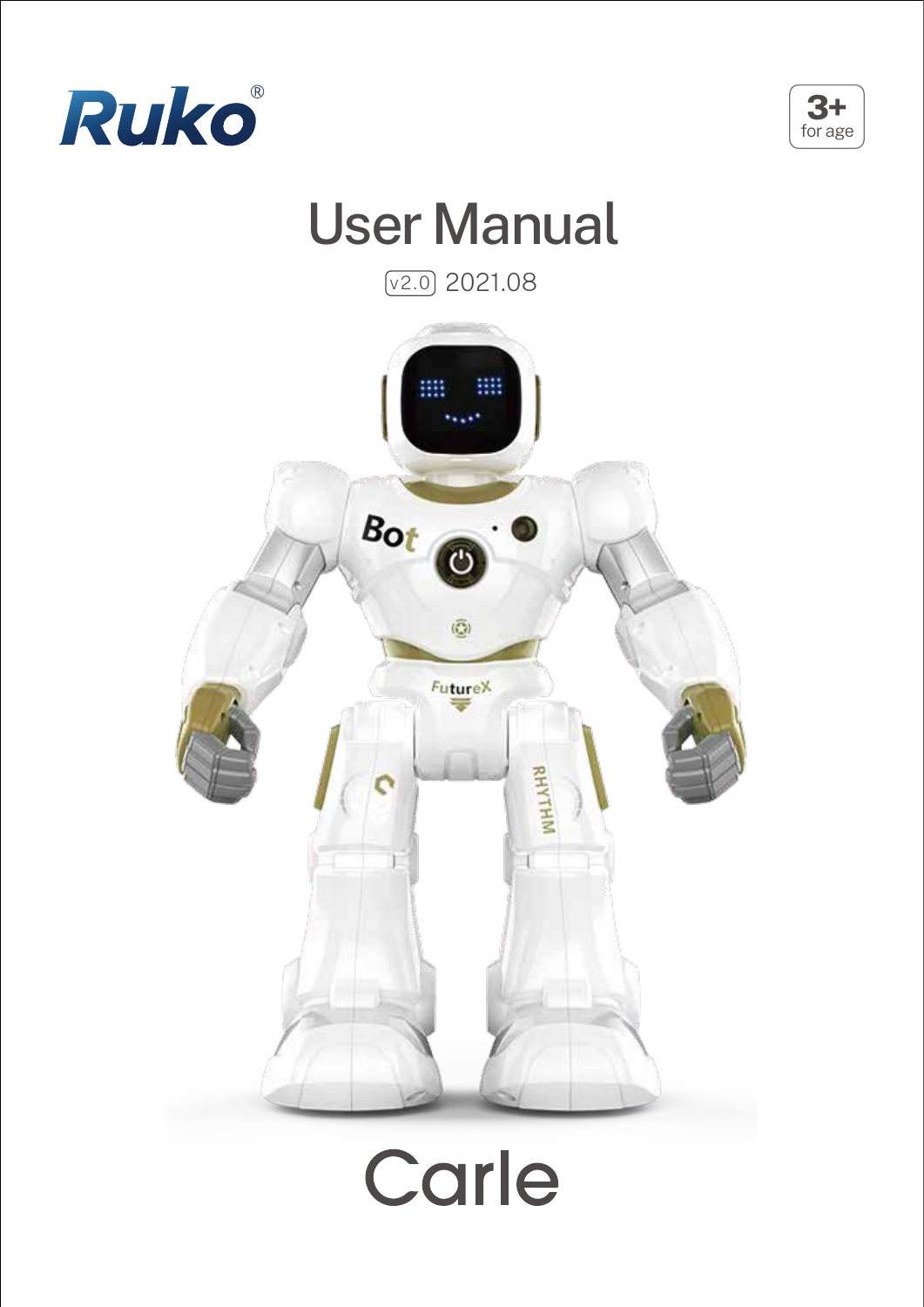



## User Manual

 $\sqrt{v2.0}$  2021.08



# Carle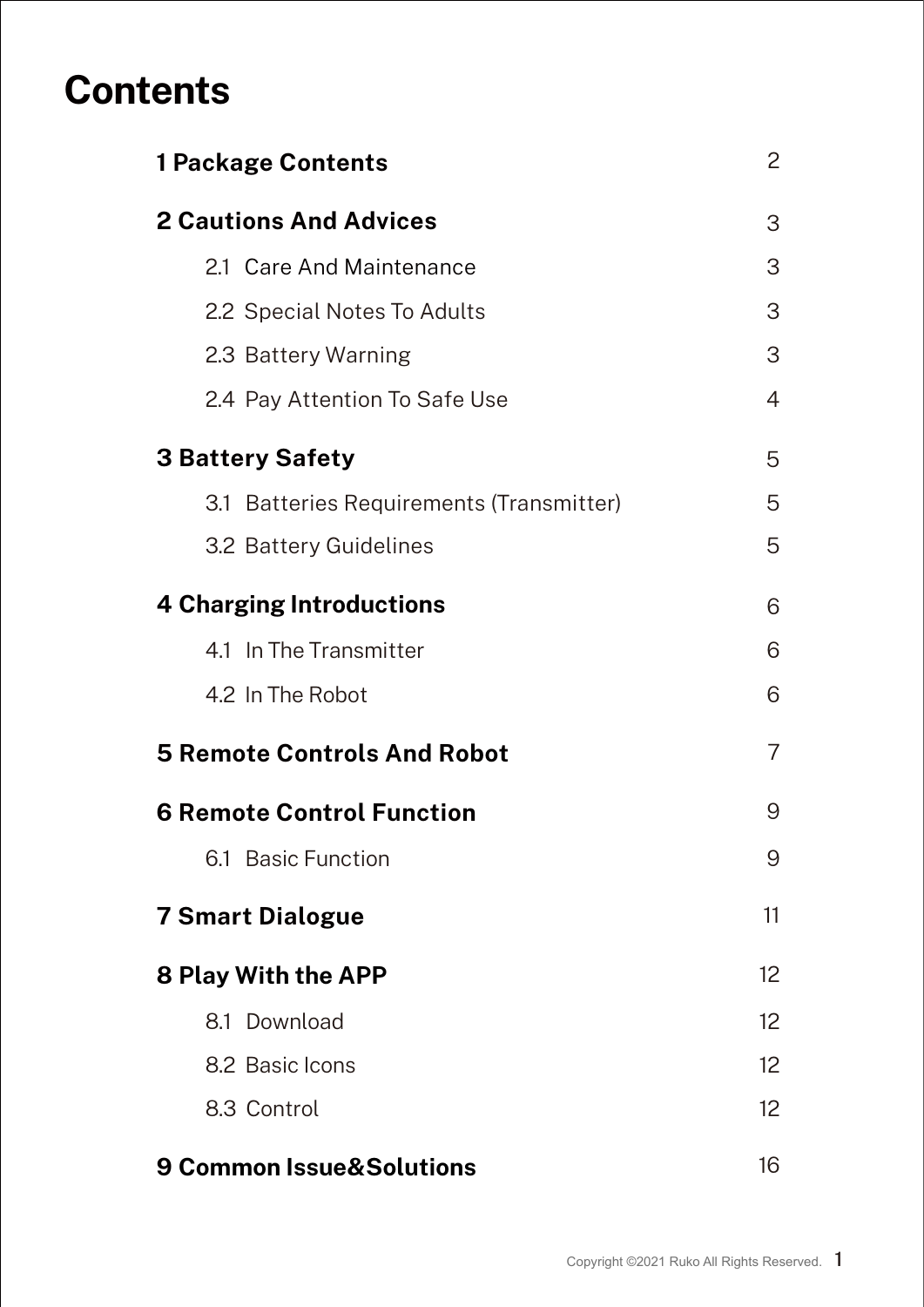## **Contents**

| <b>1 Package Contents</b>                | 2  |
|------------------------------------------|----|
| <b>2 Cautions And Advices</b>            | 3  |
| 2.1 Care And Maintenance                 | 3  |
| 2.2 Special Notes To Adults              | 3  |
| 2.3 Battery Warning                      | 3  |
| 2.4 Pay Attention To Safe Use            | 4  |
| <b>3 Battery Safety</b>                  | 5  |
| 3.1 Batteries Requirements (Transmitter) | 5  |
| 3.2 Battery Guidelines                   | 5  |
| <b>4 Charging Introductions</b>          | 6  |
| 4.1 In The Transmitter                   | 6  |
| 4.2 In The Robot                         | 6  |
| <b>5 Remote Controls And Robot</b>       | 7  |
| <b>6 Remote Control Function</b>         | 9  |
| 6.1 Basic Function                       | 9  |
| <b>7 Smart Dialogue</b>                  | 11 |
| <b>8 Play With the APP</b>               | 12 |
| 8.1 Download                             | 12 |
| 8.2 Basic Icons                          | 12 |
| 8.3 Control                              | 12 |
| 9 Common Issue&Solutions                 | 16 |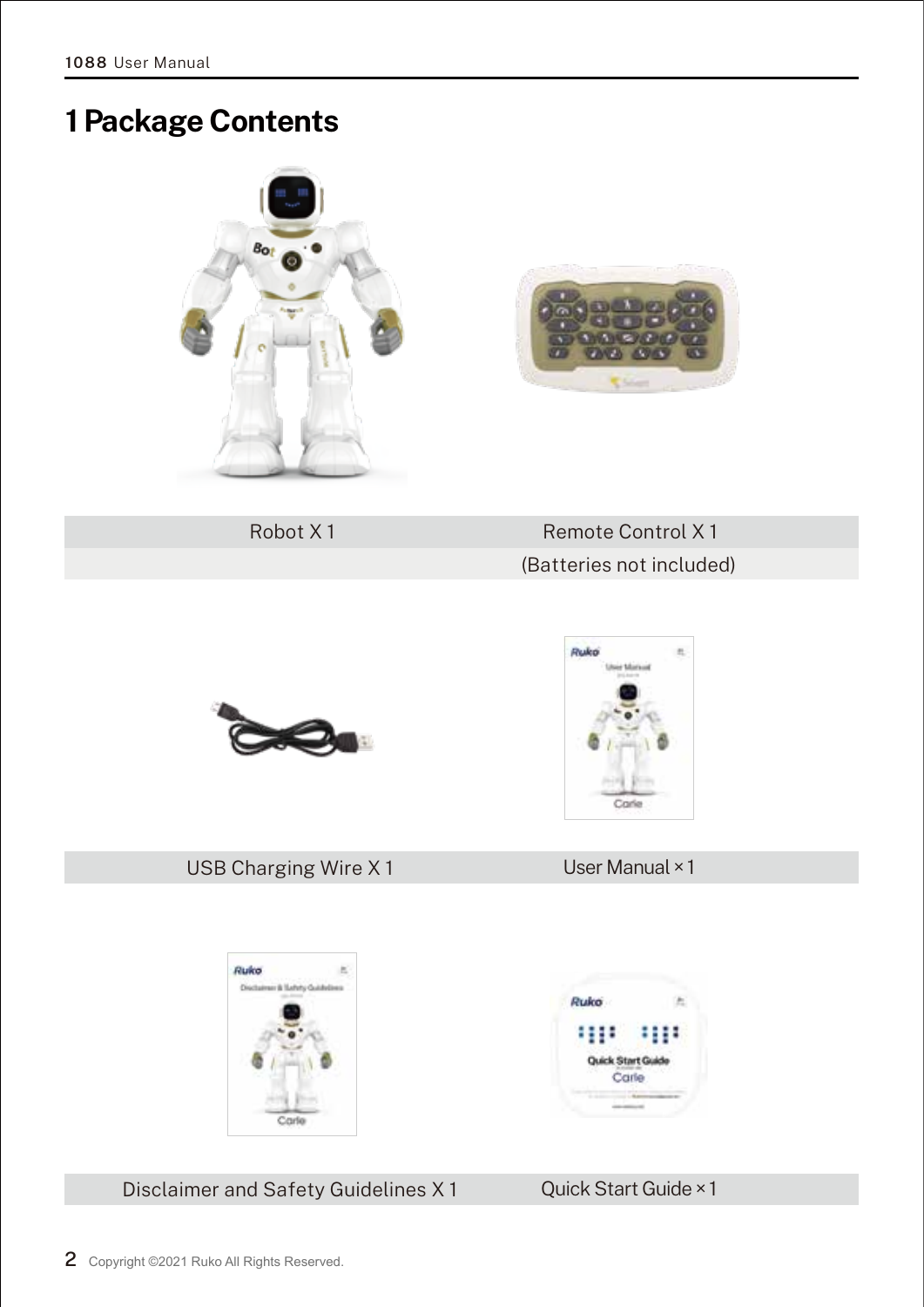**1088** User Manual

## **1 Package Contents**

Robot X 1 Remote Control X 1 (Batteries not included)

Du de

Ruko m

Disclaimer and Safety Guidelines X 1 Quick Start Guide × 1















∷ Quick Start Guid Carle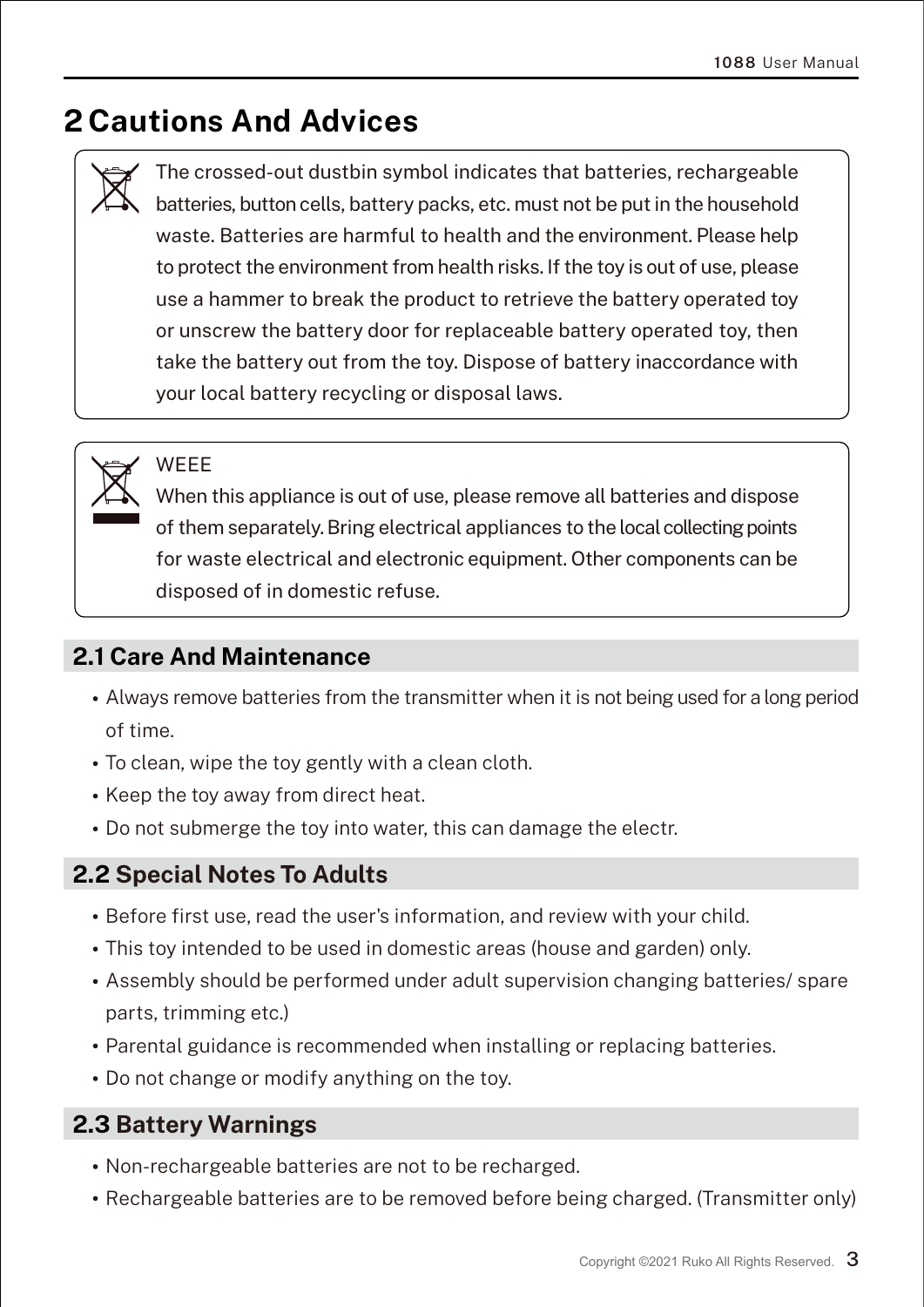## **2 Cautions And Advices**

The crossed-out dustbin symbol indicates that batteries, rechargeable batteries, button cells, battery packs, etc. must not be put in the household waste. Batteries are harmful to health and the environment. Please help to protect the environment from health risks. If the toy is out of use, please use a hammer to break the product to retrieve the battery operated toy or unscrew the battery door for replaceable battery operated toy, then take the battery out from the toy. Dispose of battery inaccordance with your local battery recycling or disposal laws.

**WFFF** 

When this appliance is out of use, please remove all batteries and dispose of them separately.Bring electrical appliances tothe local collecting points for waste electrical and electronic equipment. Other components can be disposed of in domestic refuse.

#### **2.1 Care And Maintenance**

- Always remove batteries from the transmitter when it is not being used for along period of time.
- To clean, wipe the toy gently with a clean cloth.
- Keep the toy away from direct heat.
- Do not submerge the toy into water, this can damage the electr.

#### **2.2 Special Notes To Adults**

- Before first use, read the user's information, and review with your child.
- This toy intended to be used in domestic areas (house and garden) only.
- Assembly should be performed under adult supervision changing batteries/ spare parts, trimming etc.)
- Parental guidance is recommended when installing or replacing batteries.
- Do not change or modify anything on the toy.

#### **2.3 Battery Warnings**

- Non-rechargeable batteries are not to be recharged.
- Rechargeable batteries are to be removed before being charged. (Transmitter only)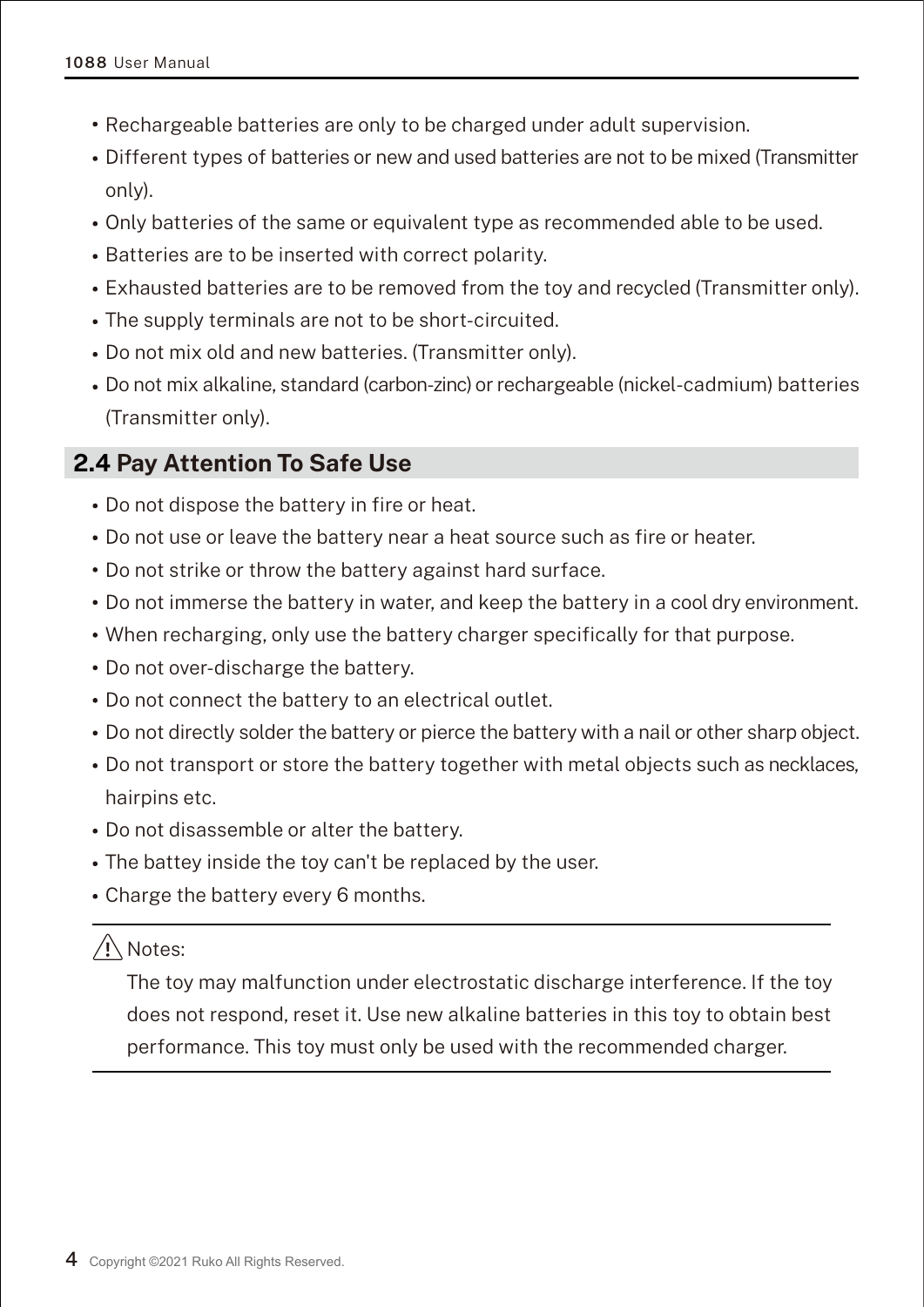- Rechargeable batteries are only to be charged under adult supervision.
- Different types of batteries or new and used batteries are not to be mixed (Transmitter only).
- Only batteries of the same or equivalent type as recommended able to be used.
- Batteries are to be inserted with correct polarity.
- Exhausted batteries are to be removed from the toy and recycled (Transmitter only).
- The supply terminals are not to be short-circuited.
- Do not mix old and new batteries. (Transmitter only).
- Do not mix alkaline, standard (carbon-zinc) or rechargeable (nickel-cadmium) batteries (Transmitter only).

#### **2.4 Pay Attention To Safe Use**

- Do not dispose the battery in fire or heat.
- Do not use or leave the battery near a heat source such as fire or heater.
- Do not strike or throw the battery against hard surface.
- Do not immerse the battery in water, and keep the battery in a cool dry environment.
- When recharging, only use the battery charger specifically for that purpose.
- Do not over-discharge the battery.
- Do not connect the battery to an electrical outlet.
- Do not directly solder the battery or pierce the battery with a nail or other sharp object.
- Do not transport or store the battery together with metal objects such as necklaces, hairpins etc.
- Do not disassemble or alter the battery.
- The battey inside the toy can't be replaced by the user.
- Charge the battery every 6 months.

#### $\sqrt{N}$ Notes:

The toy may malfunction under electrostatic discharge interference. If the toy does not respond, reset it. Use new alkaline batteries in this toy to obtain best performance. This toy must only be used with the recommended charger.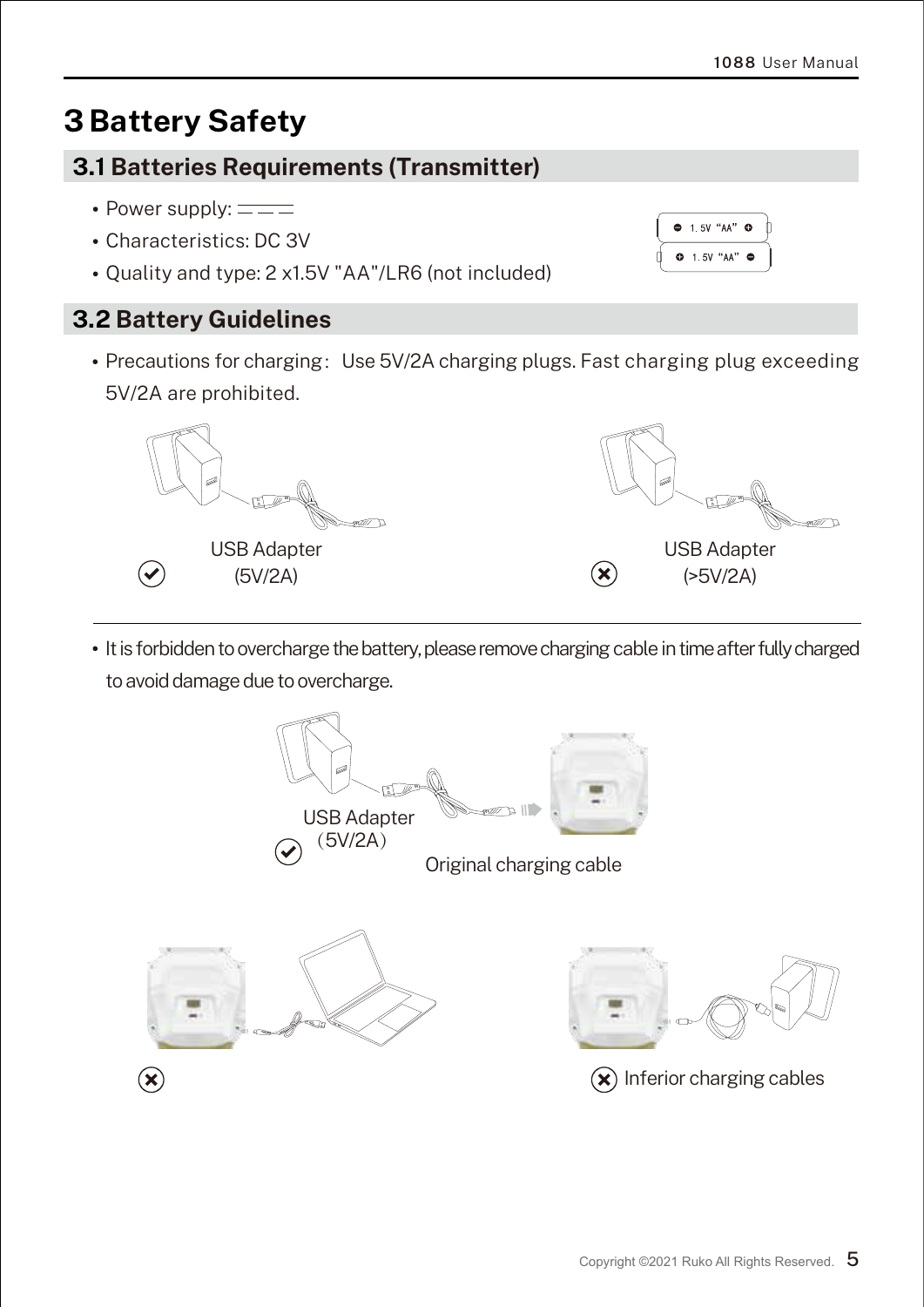$91.5V$  "AA"  $9$  $0$  1.5V "AA"

## **3 Battery Safety**

#### **3.1 Batteries Requirements (Transmitter)**

- Power supply:  $=$  $=$  $=$
- Characteristics: DC 3V
- Ouality and type: 2 x1.5V "AA"/LR6 (not included)

#### **3.2 Battery Guidelines**

• Precautions for charging: Use 5V/2A charging plugs. Fast charging plug exceeding 5V/2A are prohibited.



• It is forbidden to overcharge the battery, please remove charging cable in time after fully charged to avoid damage due to overcharge.

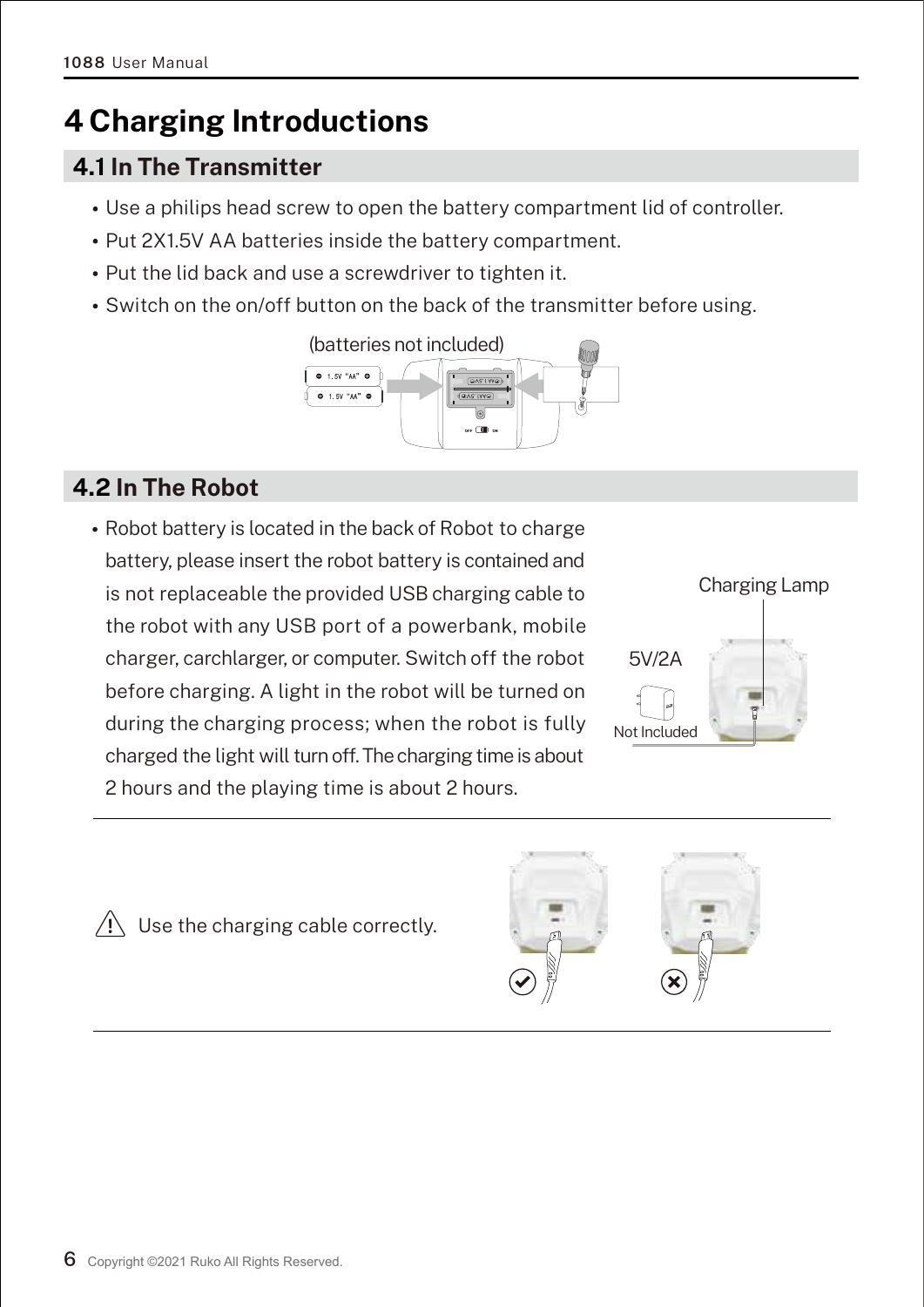## **4 Charging Introductions**

#### **4.1 In The Transmitter**

- Use a philips head screw to open the battery compartment lid of controller.
- Put 2X1.5V AA batteries inside the battery compartment.
- Put the lid back and use a screwdriver to tighten it.
- Switch on the on/off button on the back of the transmitter before using.



#### **4.2 In The Robot**

Robot battery is located in the back of Robot to charge battery, please insert the robot battery is contained and is not replaceable the provided USB charging cable to the robot with any USB port of a powerbank, mobile charger, carchlarger, or computer. Switch off the robot before charging. A light in the robot will be turned on during the charging process; when the robot is fully charged the light will turn off. The charging time is about 2 hours and the playing time is about 2 hours.



 $\sqrt{!}$  Use the charging cable correctly.

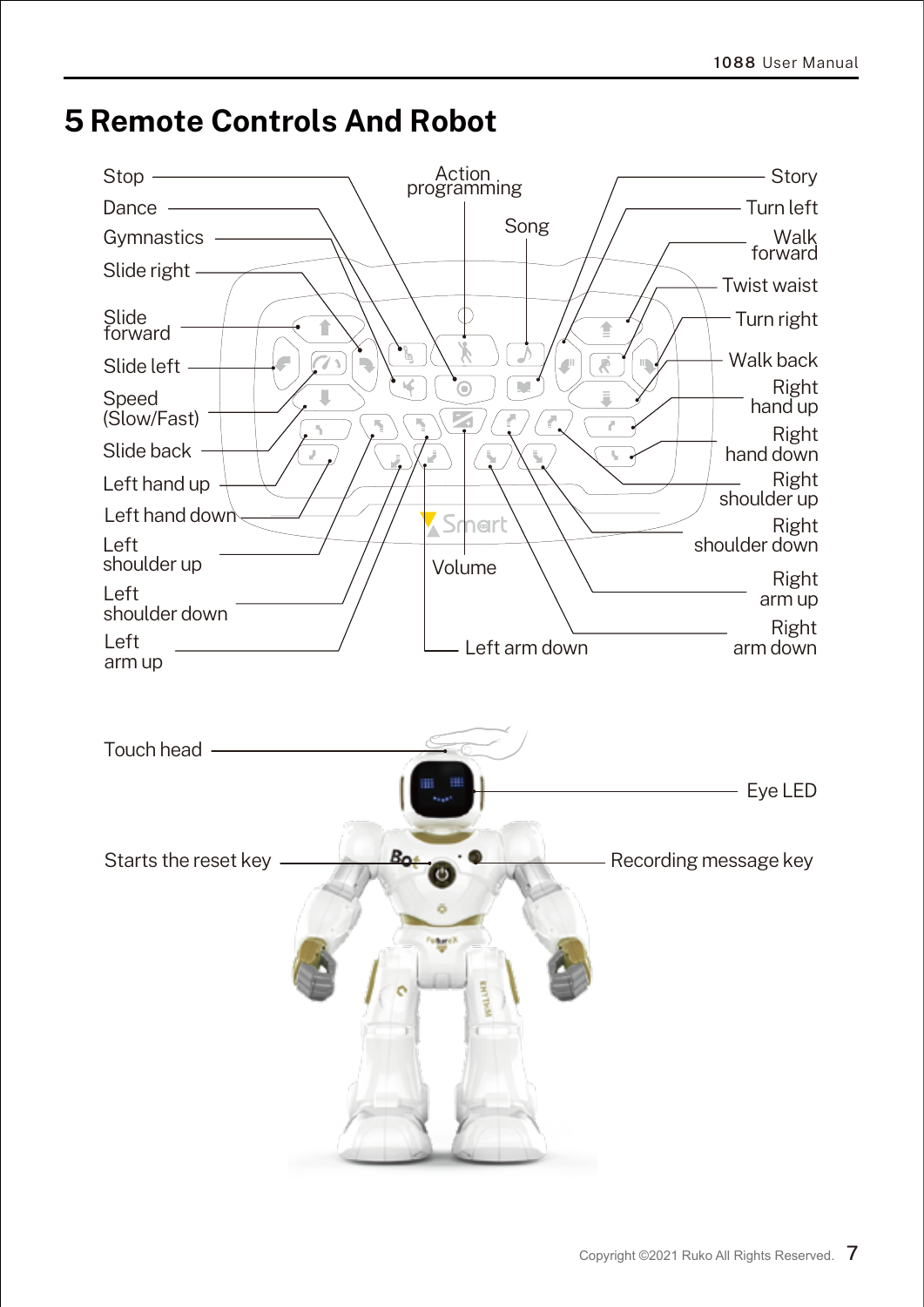

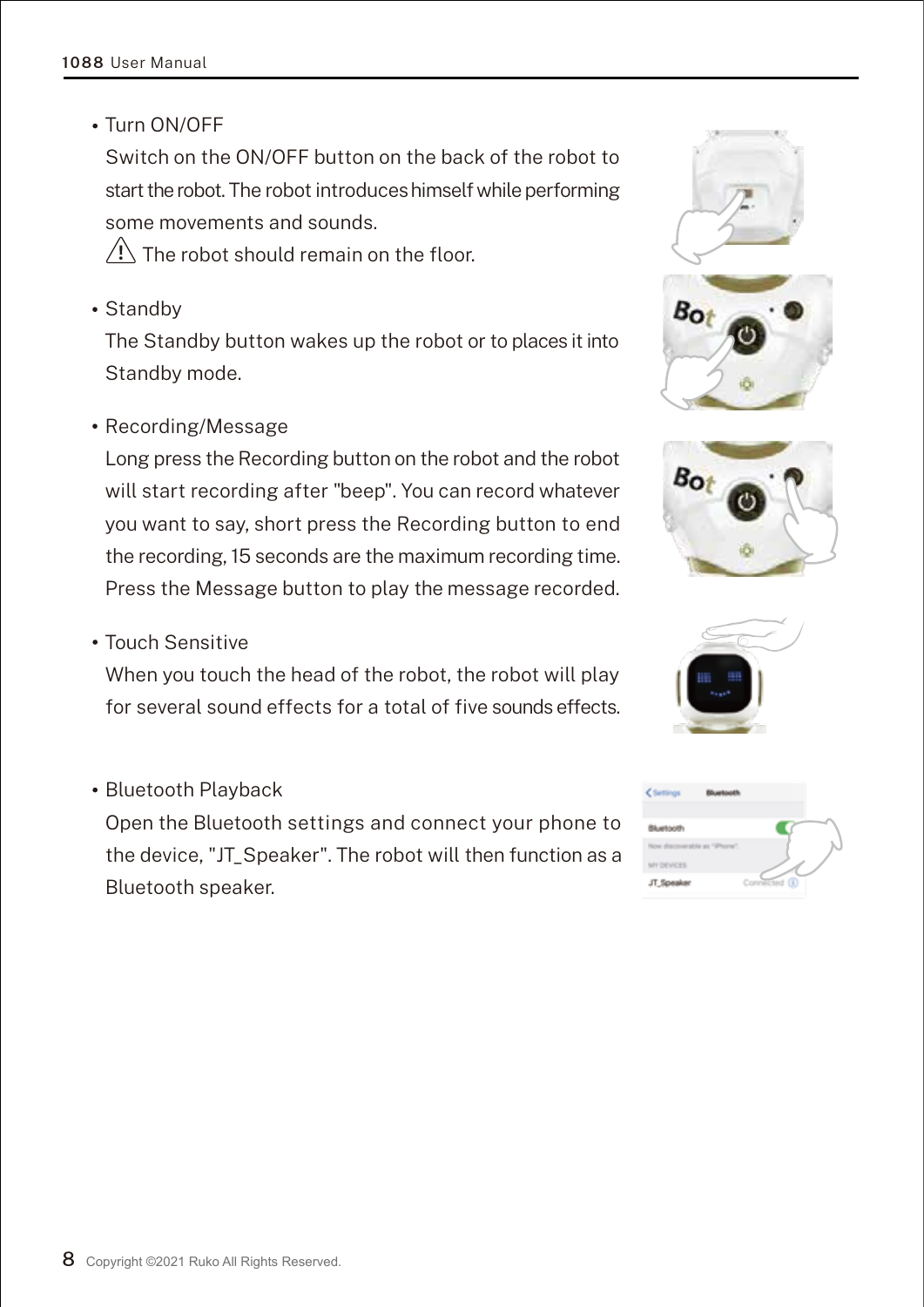Turn ON/OFF

Switch on the ON/OFF button on the back of the robot to start the robot. The robot introduces himself while performing some movements and sounds.

 $\sqrt{N}$  The robot should remain on the floor.

• Standby

The Standby button wakes up the robot or to places it into Standby mode.

Recording/Message

Long press the Recording button on the robot and the robot will start recording after "beep". You can record whatever you want to say, short press the Recording button to end the recording, 15 seconds are the maximum recording time. Press the Message button to play the message recorded.

Touch Sensitive

When you touch the head of the robot, the robot will play for several sound effects for a total of five sounds effects.

• Bluetooth Playback

Open the Bluetooth settings and connect your phone to the device, "JT\_Speaker". The robot will then function as a Bluetooth speaker.







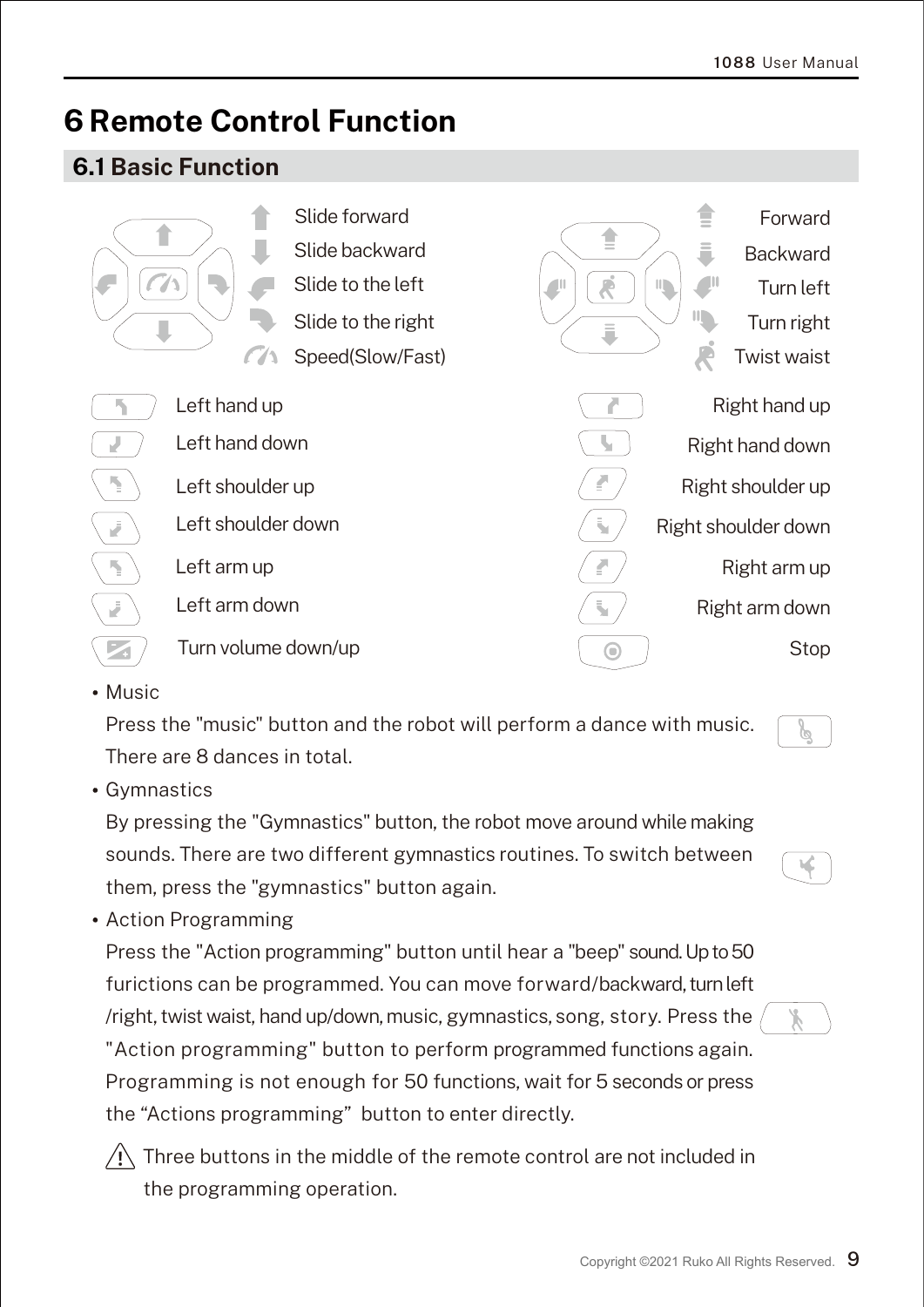## **6 Remote Control Function**

#### **6.1 Basic Function**



Music

Press the "music" button and the robot will perform a dance with music. There are 8 dances in total.

Gymnastics

By pressing the "Gymnastics" button, the robot move around while making sounds. There are two different gymnastics routines. To switch between them, press the "gymnastics" button again.

у°

Action Programming

Press the "Action programming" button until hear a "beep" sound. Up to 50 furictions can be programmed. You can move forward/backward, turn left /right, twist waist, hand up/down,music, gymnastics, song, story. Press the "Action programming" button to perform programmed functions again. Programming is not enough for 50 functions, wait for 5 seconds or press the "Actions programming" button to enter directly.



 $\left\langle \right\vert$  Three buttons in the middle of the remote control are not included in the programming operation.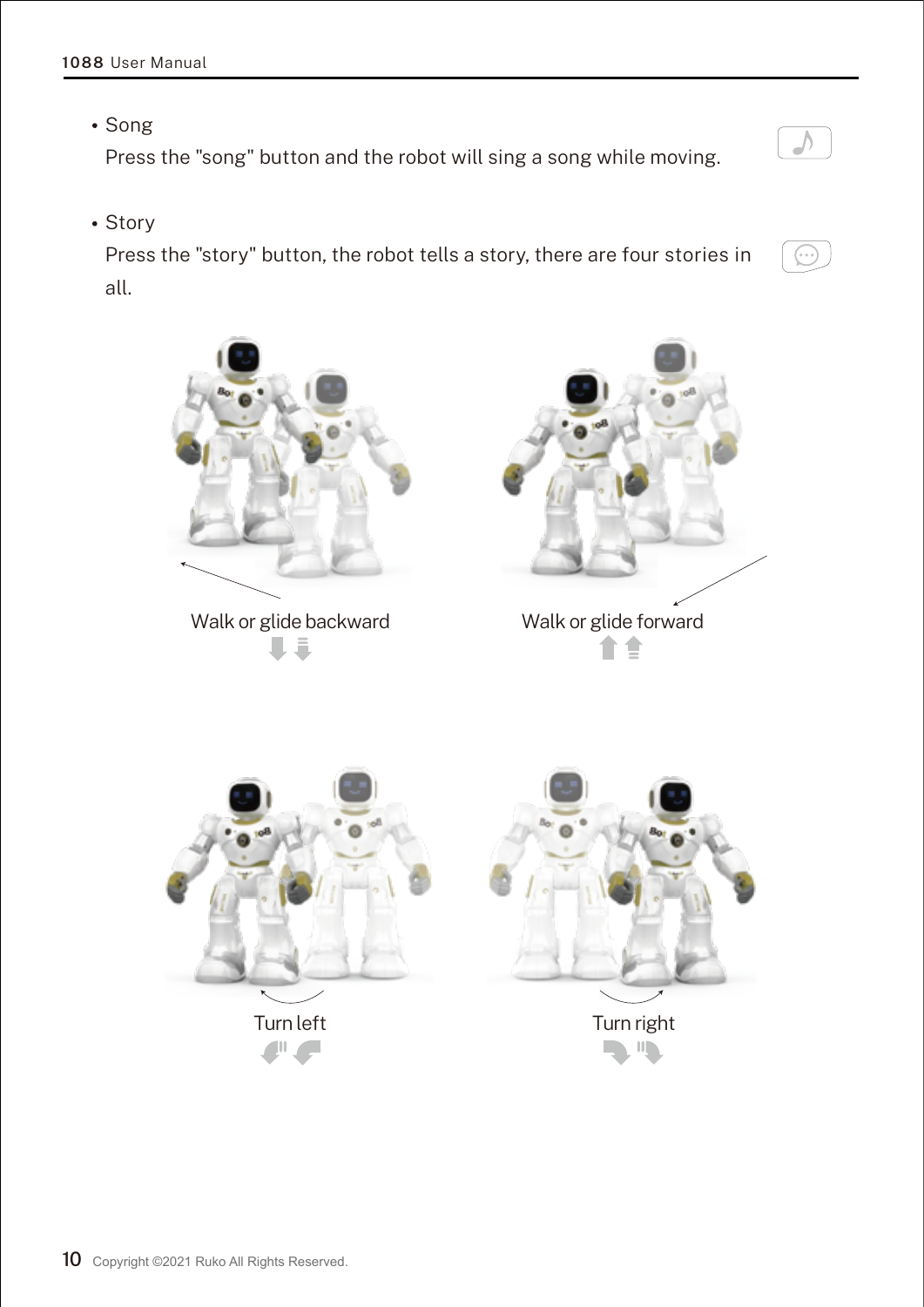• Song

Press the "song" button and the robot will sing a song while moving.

• Story

Press the "story" button, the robot tells a story, there are four stories in all.



 $\sqrt{ }$ 

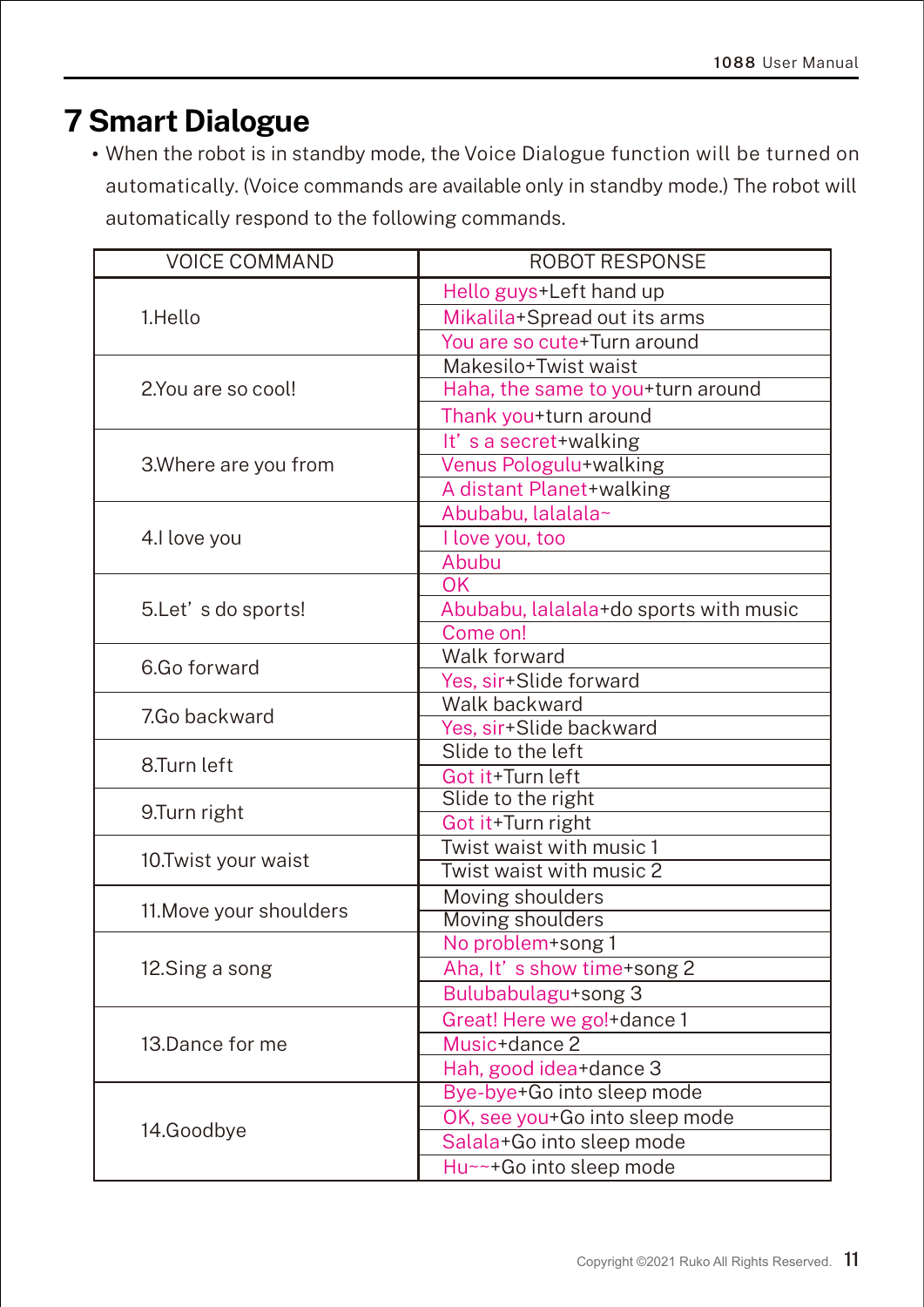## **7 Smart Dialogue**

When the robot is in standby mode, the Voice Dialogue function will be turned on automatically. (Voice commands are available only in standby mode.) The robot will automatically respond to the following commands.

| <b>VOICE COMMAND</b>    | <b>ROBOT RESPONSE</b>                   |  |
|-------------------------|-----------------------------------------|--|
| 1.Hello                 | Hello guys+Left hand up                 |  |
|                         | Mikalila+Spread out its arms            |  |
|                         | You are so cute+Turn around             |  |
|                         | Makesilo+Twist waist                    |  |
| 2.You are so cool!      | Haha, the same to you+turn around       |  |
|                         | Thank you+turn around                   |  |
| 3. Where are you from   | It's a secret+walking                   |  |
|                         | Venus Pologulu+walking                  |  |
|                         | A distant Planet+walking                |  |
| 4.I love you            | Abubabu, lalalala~                      |  |
|                         | <b>I</b> love you, too                  |  |
|                         | Abubu                                   |  |
|                         | OK                                      |  |
| 5.Let's do sports!      | Abubabu, lalalala+do sports with music  |  |
|                         | Come on!                                |  |
| 6.Go forward            | Walk forward                            |  |
|                         | Yes, sir+Slide forward                  |  |
| 7.Go backward           | Walk backward                           |  |
|                         | Yes, sir+Slide backward                 |  |
| 8.Turn left             | Slide to the left                       |  |
|                         | Got it+Turn left                        |  |
| 9.Turn right            | Slide to the right<br>Got it+Turn right |  |
| 10. Twist your waist    | Twist waist with music 1                |  |
|                         | Twist waist with music 2                |  |
|                         | Moving shoulders                        |  |
| 11. Move your shoulders | <b>Moving shoulders</b>                 |  |
|                         | No problem+song 1                       |  |
| 12.Sing a song          | Aha, It's show time+song 2              |  |
|                         | Bulubabulagu+song 3                     |  |
|                         | Great! Here we go!+dance 1              |  |
| 13.Dance for me         | Music+dance 2                           |  |
|                         | Hah, good idea+dance 3                  |  |
|                         | Bye-bye+Go into sleep mode              |  |
| 14.Goodbye              | OK, see you+Go into sleep mode          |  |
|                         | Salala+Go into sleep mode               |  |
|                         | Hu~~+Go into sleep mode                 |  |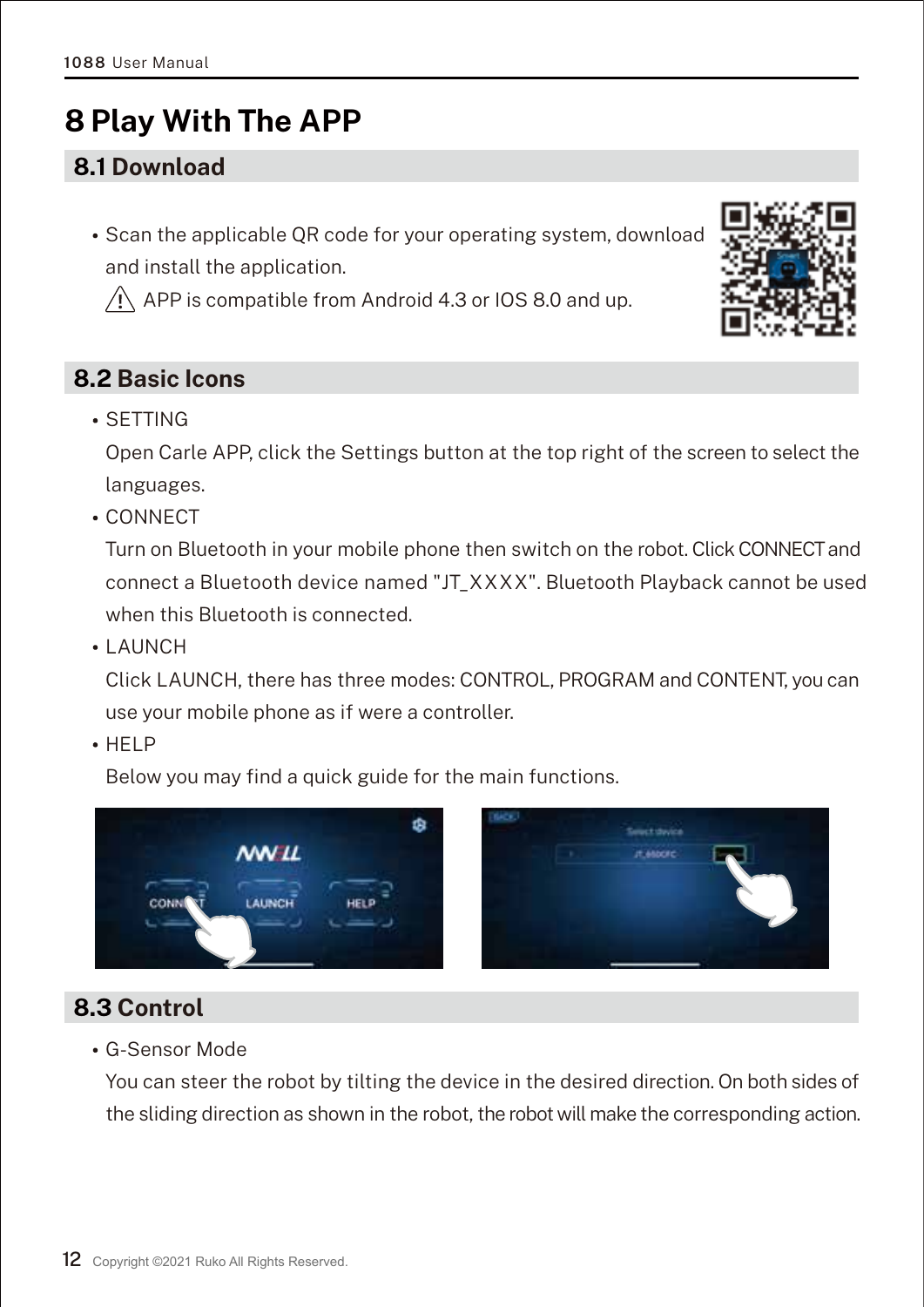## **8 Play With The APP**

#### **8.1 Download**

• Scan the applicable QR code for your operating system, download and install the application.

 $\sqrt{N}$  APP is compatible from Android 4.3 or IOS 8.0 and up.

#### **8.2 Basic Icons**

SETTING

Open Carle APP, click the Settings button at the top right of the screen to select the languages.

CONNECT

Turn on Bluetooth in your mobile phone then switch on the robot. Click CONNECT and connect a Bluetooth device named "JT\_XXXX". Bluetooth Playback cannot be used when this Bluetooth is connected.

• LAUNCH

Click LAUNCH, there has three modes: CONTROL, PROGRAM and CONTENT, you can use your mobile phone as if were a controller.

 $-HFI P$ 

Below you may find a quick guide for the main functions.



#### **8.3 Control**

G-Sensor Mode

You can steer the robot by tilting the device in the desired direction. On both sides of the sliding direction as shown in the robot, the robot will make the corresponding action.

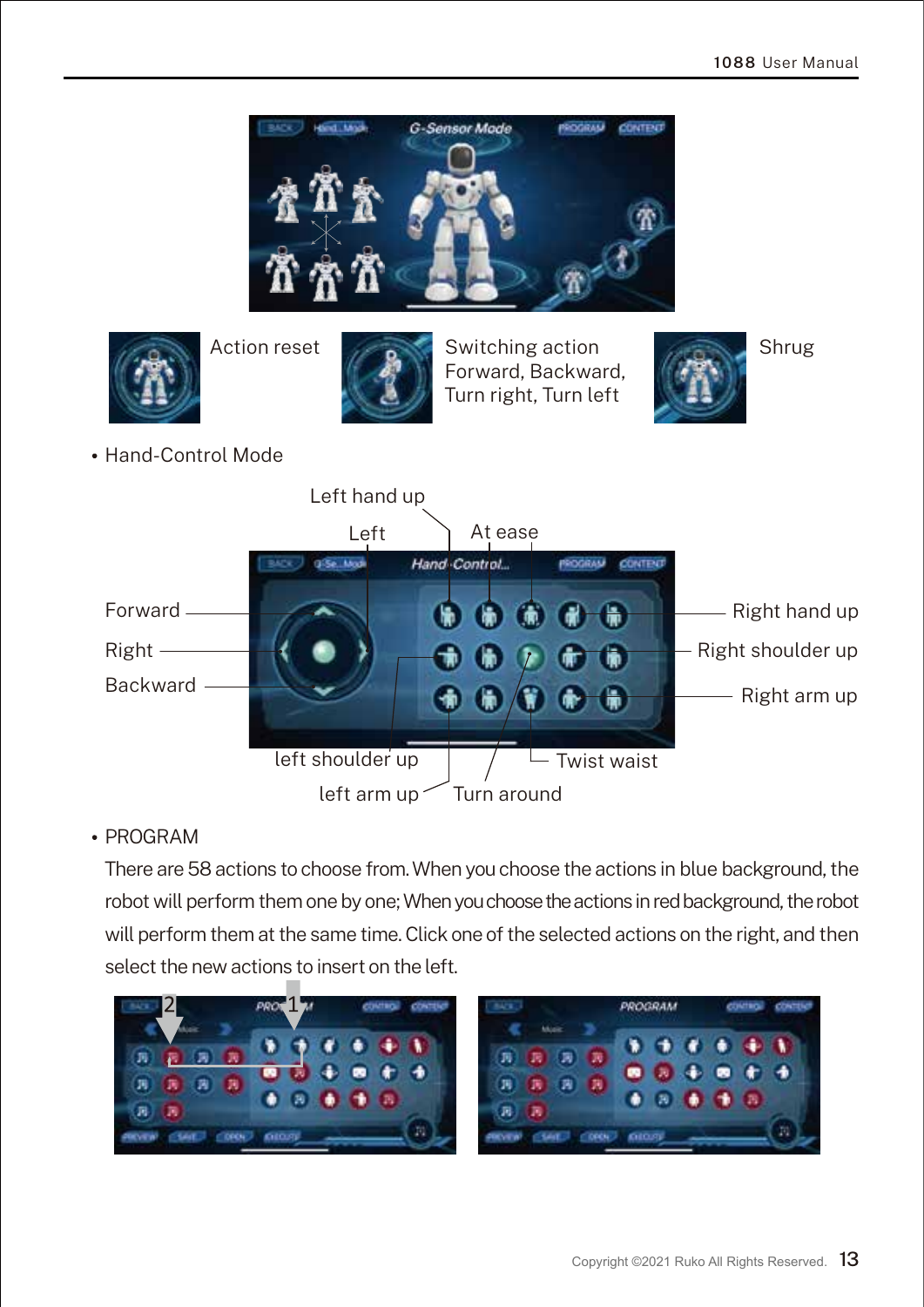



Action reset **Shrug** Switching action Forward, Backward, Turn right, Turn left



Hand-Control Mode



#### PROGRAM

There are 58 actions to choose from. When you choose the actions in blue background, the robot will perform them one by one; When you choose the actions in red background, the robot will perform them at the same time. Click one of the selected actions on the right, and then select the new actions to insert on the left.

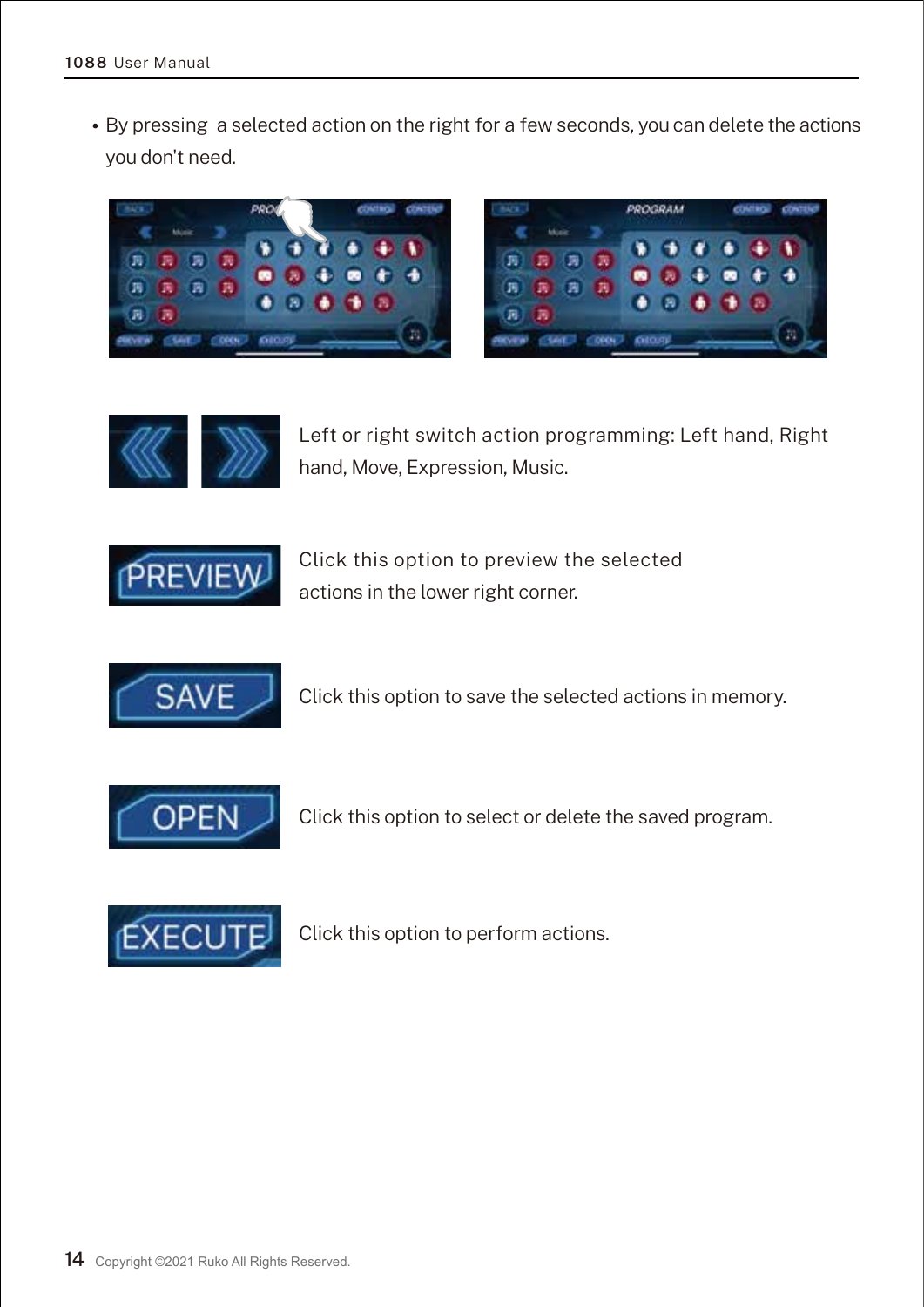By pressing a selected action on the right for a few seconds, you can delete the actions you don't need.







Left or right switch action programming: Left hand, Right hand, Move, Expression, Music.



Click this option to preview the selected actions in the lower right corner.



Click this option to save the selected actions in memory.



Click this option to select or delete the saved program.



Click this option to perform actions.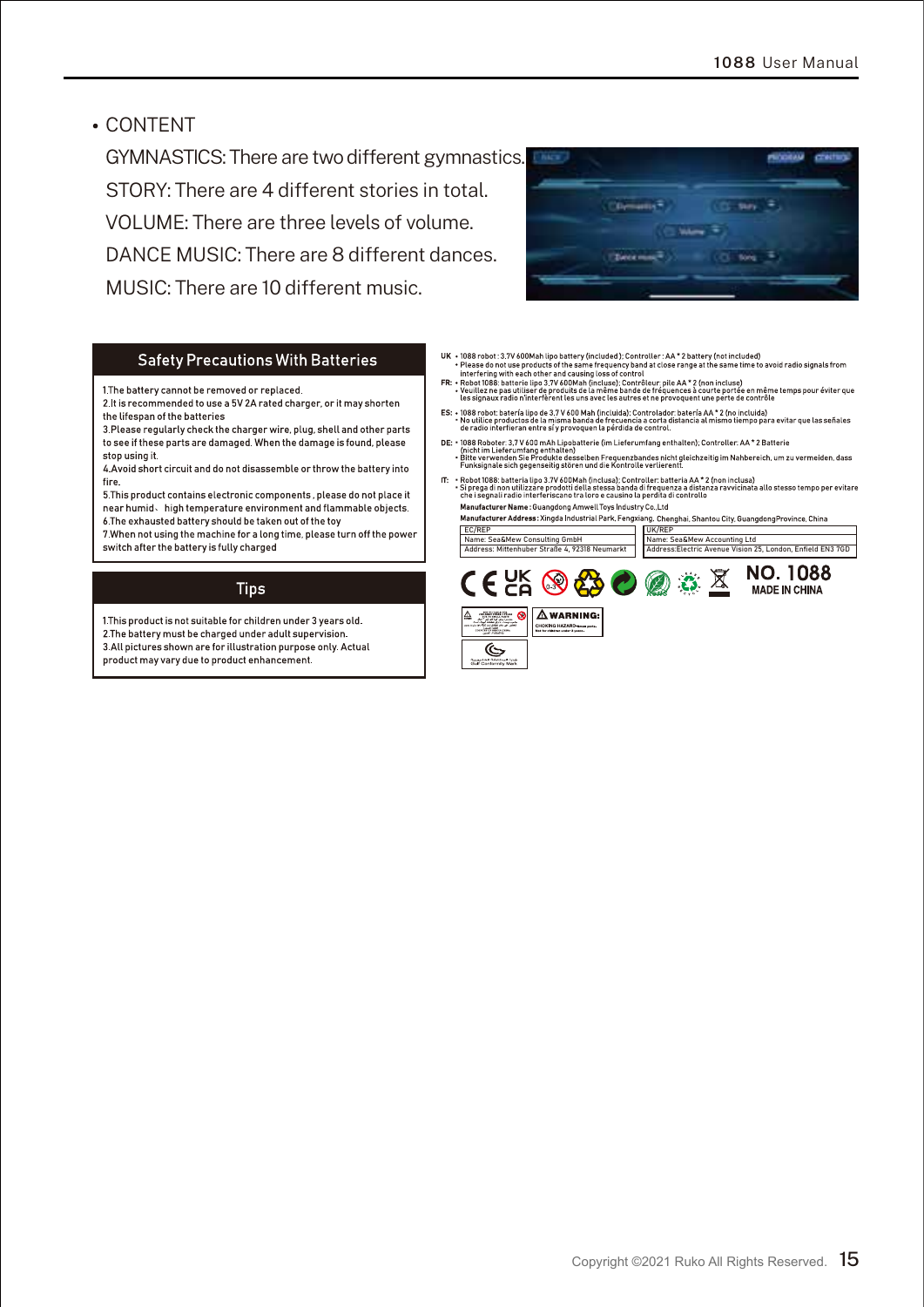CONTENT

GYMNASTICS: There are two different gymnastics. STORY: There are 4 different stories in total. VOLUME: There are three levels of volume. DANCE MUSIC: There are 8 different dances. MUSIC: There are 10 different music.



#### Safety Precautions With Batteries

1 The battery cannot be removed or replaced

2.It is recommended to use a 5V 2A rated charger, or it may shorten the lifespan of the batteries

3 Please regularly check the charger wire, plug, shell and other parts to see if these parts are damaged. When the damage is found, please stop using it.

4. Avoid short circuit and do not disassemble or throw the battery into fire

5. This product contains electronic components , please do not place it near humid high temperature environment and flammable objects. 6 The exhausted battery should be taken out of the toy

7. When not using the machine for a long time, please turn off the power switch after the battery is fully charged

#### **Tips**

1 This product is not suitable for children under 3 years old. 2 The battery must be charged under adult supervision. 3 All pictures shown are for illustration purpose only. Actual product may vary due to product enhancement.

- 
- $\begin{minipage}[t]{. \begin{subarray}{l} \begin{subarray}{l} \textbf{UK} & \textbf{1} & \textbf{0} & \textbf{0} & \textbf{0} & \textbf{0} & \textbf{0} & \textbf{0} & \textbf{0} & \textbf{0} & \textbf{0} & \textbf{0} & \textbf{0} & \textbf{0} & \textbf{0} & \textbf{0} & \textbf{0} & \textbf{0} & \textbf{0} & \textbf{0} & \textbf{0} & \textbf{0} & \textbf{0} & \textbf{0} & \textbf{0} & \textbf{0} & \textbf{0} & \textbf{0$
- ES: 1088 robot: batería lipo de 3,7 V 600 Mah (incluida): Controlador: batería AA \* 2 (no incluida)<br>• No utilice productos de la misma banda de frecuencia a corta distancia al mismo tiempo para evitar que las señales<br>de
- DE: 1888 Robiter, 37 V-600 mAN Lipobatterie (im Lieferumfang enthalten): Controller: AA \* 2 Batterie<br>• Bitte verworden Sie Produkte desselben Frequenzbandes nicht gleichzeitig im Nahbereich, um zu vermeiden, dass<br>• Funks
- The Hostel USB Salteria (ips 277 600 M) and the Controller batteria AA \* 2 (non incluse)<br>The Hostel USB Salteria (ips 277 600 M) and the USB Salteria and the USB Salteria (inclusion of the Salteria Controller Controller Co

UK/REP Name: Sea&Mew Accounting Ltd Address:Electric Avenue Vision 25, London, Enfield EN3 7GD EC/REP Name: Sea&Mew Consulting GmbH Address: Mittenhuber Straße 4, 92318 Neumarkt

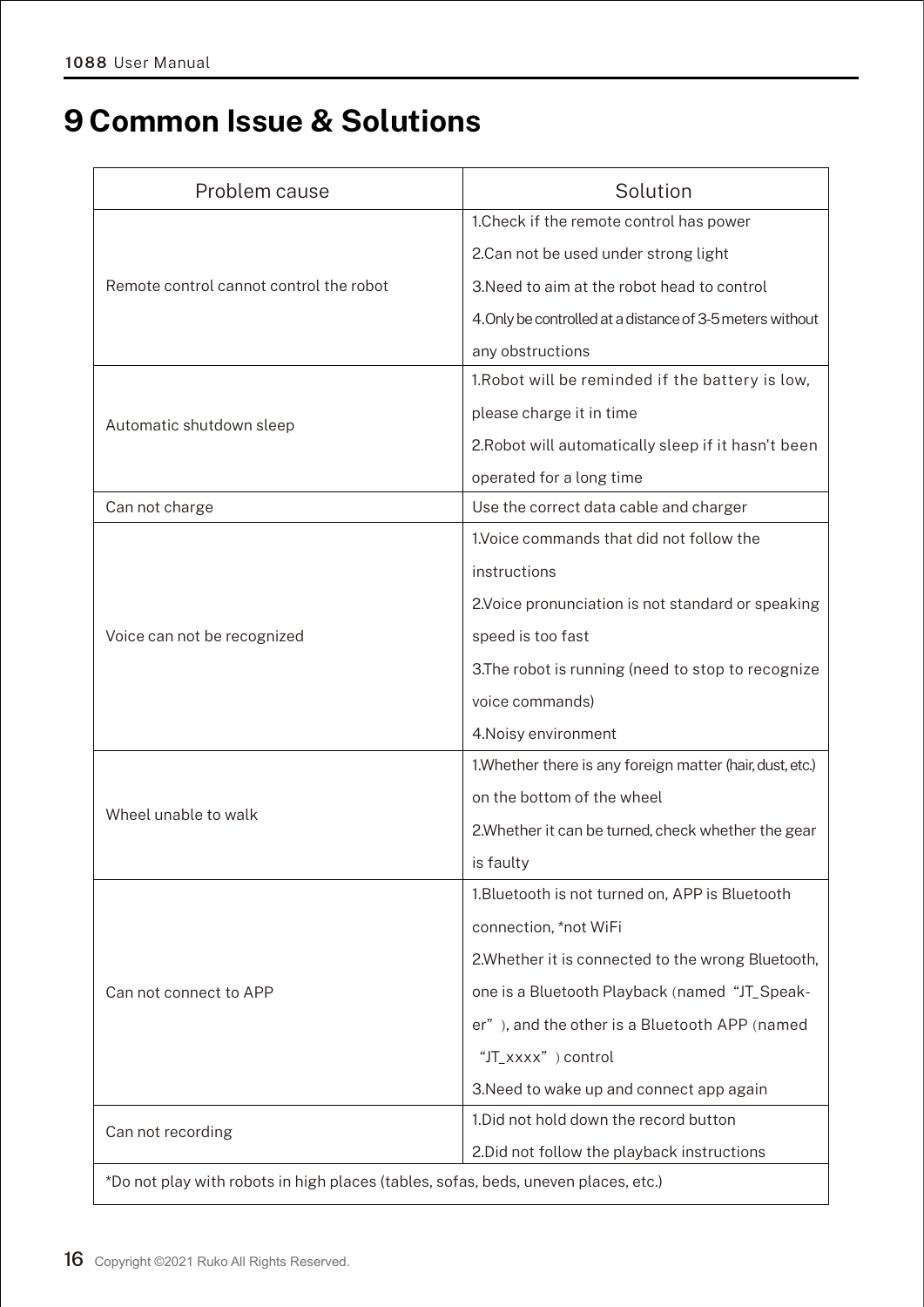## **9 Common Issue & Solutions**

| Problem cause                           | Solution                                                                           |  |  |
|-----------------------------------------|------------------------------------------------------------------------------------|--|--|
| Remote control cannot control the robot | 1. Check if the remote control has power                                           |  |  |
|                                         | 2.Can not be used under strong light                                               |  |  |
|                                         | 3. Need to aim at the robot head to control                                        |  |  |
|                                         | 4. Only be controlled at a distance of 3-5 meters without                          |  |  |
|                                         | any obstructions                                                                   |  |  |
| Automatic shutdown sleep                | 1. Robot will be reminded if the battery is low,                                   |  |  |
|                                         | please charge it in time                                                           |  |  |
|                                         | 2. Robot will automatically sleep if it hasn't been                                |  |  |
|                                         | operated for a long time                                                           |  |  |
| Can not charge                          | Use the correct data cable and charger                                             |  |  |
| Voice can not be recognized             | 1. Voice commands that did not follow the                                          |  |  |
|                                         | instructions                                                                       |  |  |
|                                         | 2. Voice pronunciation is not standard or speaking                                 |  |  |
|                                         | speed is too fast                                                                  |  |  |
|                                         | 3. The robot is running (need to stop to recognize                                 |  |  |
|                                         | voice commands)                                                                    |  |  |
|                                         | 4. Noisy environment                                                               |  |  |
| Wheel unable to walk                    | 1. Whether there is any foreign matter (hair, dust, etc.)                          |  |  |
|                                         | on the bottom of the wheel                                                         |  |  |
|                                         | 2. Whether it can be turned, check whether the gear                                |  |  |
|                                         | is faulty                                                                          |  |  |
| Can not connect to APP                  | 1. Bluetooth is not turned on, APP is Bluetooth                                    |  |  |
|                                         | connection, *not WiFi                                                              |  |  |
|                                         | 2. Whether it is connected to the wrong Bluetooth,                                 |  |  |
|                                         | one is a Bluetooth Playback (named "JT_Speak-                                      |  |  |
|                                         | er"), and the other is a Bluetooth APP (named                                      |  |  |
|                                         | "JT_xxxx") control                                                                 |  |  |
|                                         | 3. Need to wake up and connect app again                                           |  |  |
| Can not recording                       | 1. Did not hold down the record button                                             |  |  |
|                                         | 2. Did not follow the playback instructions                                        |  |  |
|                                         | *Do not play with robots in high places (tables, sofas, beds, uneven places, etc.) |  |  |